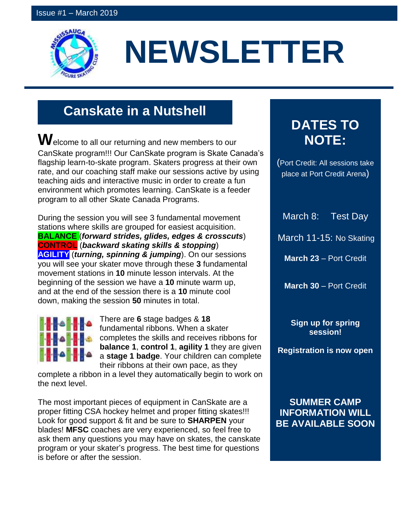

# **NEWSLETTER**

# **Canskate in a Nutshell**

**W**elcome to all our returning and new members to our CanSkate program!!! Our CanSkate program is Skate Canada's flagship learn-to-skate program. Skaters progress at their own rate, and our coaching staff make our sessions active by using teaching aids and interactive music in order to create a fun environment which promotes learning. CanSkate is a feeder program to all other Skate Canada Programs.

During the session you will see 3 fundamental movement stations where skills are grouped for easiest acquisition. **BALANCE** (*forward strides, glides, edges & crosscuts*) **CONTROL** (*backward skating skills & stopping*) **AGILITY** (*turning, spinning & jumping*). On our sessions you will see your skater move through these **3** fundamental movement stations in **10** minute lesson intervals. At the beginning of the session we have a **10** minute warm up, and at the end of the session there is a **10** minute cool down, making the session **50** minutes in total.



There are **6** stage badges & **18** fundamental ribbons. When a skater completes the skills and receives ribbons for **balance 1**, **control 1**, **agility 1** they are given a **stage 1 badge**. Your children can complete their ribbons at their own pace, as they

complete a ribbon in a level they automatically begin to work on the next level.

The most important pieces of equipment in CanSkate are a proper fitting CSA hockey helmet and proper fitting skates!!! Look for good support & fit and be sure to **SHARPEN** your blades! **MFSC** coaches are very experienced, so feel free to ask them any questions you may have on skates, the canskate program or your skater's progress. The best time for questions is before or after the session.

## **DATES TO NOTE:**

(Port Credit: All sessions take place at Port Credit Arena)

March 8: Test Day

March 11-15: No Skating

**March 23** – Port Credit

**March 30** – Port Credit

**Sign up for spring session!**

**Registration is now open**

**SUMMER CAMP INFORMATION WILL BE AVAILABLE SOON**